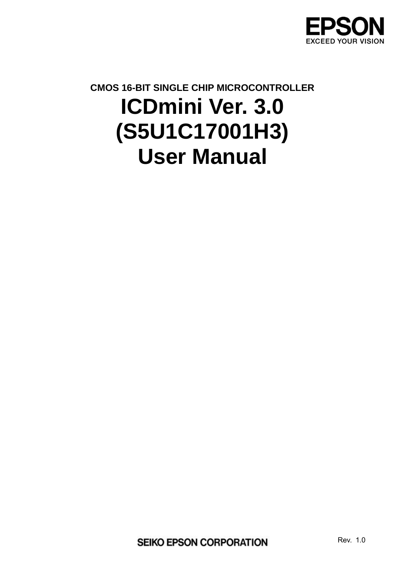

# **CMOS 16-BIT SINGLE CHIP MICROCONTROLLER ICDmini Ver. 3.0 (S5U1C17001H3) User Manual**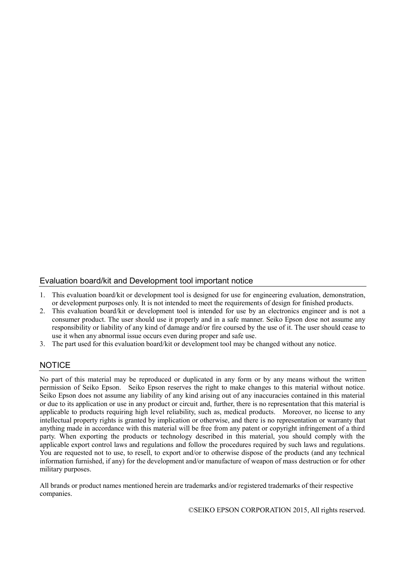#### Evaluation board/kit and Development tool important notice

- 1. This evaluation board/kit or development tool is designed for use for engineering evaluation, demonstration, or development purposes only. It is not intended to meet the requirements of design for finished products.
- 2. This evaluation board/kit or development tool is intended for use by an electronics engineer and is not a consumer product. The user should use it properly and in a safe manner. Seiko Epson dose not assume any responsibility or liability of any kind of damage and/or fire coursed by the use of it. The user should cease to use it when any abnormal issue occurs even during proper and safe use.
- 3. The part used for this evaluation board/kit or development tool may be changed without any notice.

#### **NOTICE**

No part of this material may be reproduced or duplicated in any form or by any means without the written permission of Seiko Epson. Seiko Epson reserves the right to make changes to this material without notice. Seiko Epson does not assume any liability of any kind arising out of any inaccuracies contained in this material or due to its application or use in any product or circuit and, further, there is no representation that this material is applicable to products requiring high level reliability, such as, medical products. Moreover, no license to any intellectual property rights is granted by implication or otherwise, and there is no representation or warranty that anything made in accordance with this material will be free from any patent or copyright infringement of a third party. When exporting the products or technology described in this material, you should comply with the applicable export control laws and regulations and follow the procedures required by such laws and regulations. You are requested not to use, to resell, to export and/or to otherwise dispose of the products (and any technical information furnished, if any) for the development and/or manufacture of weapon of mass destruction or for other military purposes.

All brands or product names mentioned herein are trademarks and/or registered trademarks of their respective companies.

©SEIKO EPSON CORPORATION 2015, All rights reserved.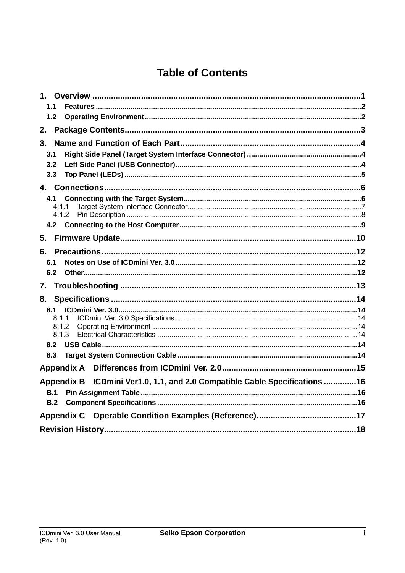# **Table of Contents**

| 1.1               |                                                                 |  |  |
|-------------------|-----------------------------------------------------------------|--|--|
| 1.2               |                                                                 |  |  |
| 2.                |                                                                 |  |  |
| 3.                |                                                                 |  |  |
| 3.1               |                                                                 |  |  |
| 3.2               |                                                                 |  |  |
| 3.3               |                                                                 |  |  |
|                   |                                                                 |  |  |
| 4.1               |                                                                 |  |  |
| 4.1.1<br>4.1.2    |                                                                 |  |  |
|                   |                                                                 |  |  |
|                   |                                                                 |  |  |
| 5.                |                                                                 |  |  |
|                   |                                                                 |  |  |
| 6.1               |                                                                 |  |  |
| 6.2               |                                                                 |  |  |
| 7.                |                                                                 |  |  |
| 8.                |                                                                 |  |  |
| 8.1               |                                                                 |  |  |
| 8.1.1             |                                                                 |  |  |
| 8.1.2<br>8.1.3    |                                                                 |  |  |
| 8.2               |                                                                 |  |  |
| 8.3               |                                                                 |  |  |
|                   |                                                                 |  |  |
| <b>Appendix B</b> | ICDmini Ver1.0, 1.1, and 2.0 Compatible Cable Specifications 16 |  |  |
| B.1               |                                                                 |  |  |
| B.2               |                                                                 |  |  |
|                   |                                                                 |  |  |
|                   |                                                                 |  |  |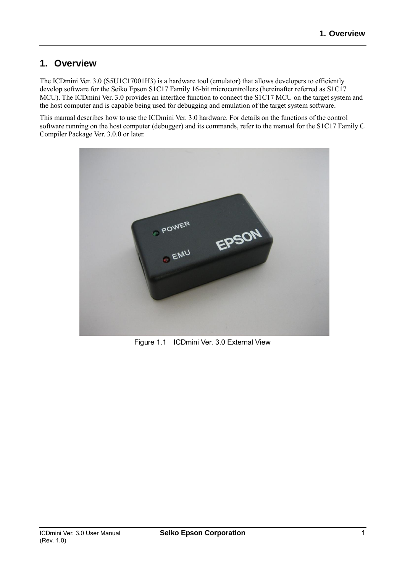## **1. Overview**

The ICDmini Ver. 3.0 (S5U1C17001H3) is a hardware tool (emulator) that allows developers to efficiently develop software for the Seiko Epson S1C17 Family 16-bit microcontrollers (hereinafter referred as S1C17 MCU). The ICDmini Ver. 3.0 provides an interface function to connect the S1C17 MCU on the target system and the host computer and is capable being used for debugging and emulation of the target system software.

This manual describes how to use the ICDmini Ver. 3.0 hardware. For details on the functions of the control software running on the host computer (debugger) and its commands, refer to the manual for the S1C17 Family C Compiler Package Ver. 3.0.0 or later.



Figure 1.1 ICDmini Ver. 3.0 External View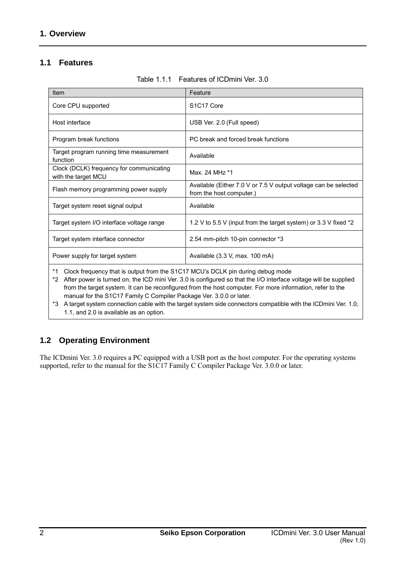## **1.1 Features**

| Item                                                            | Feature                                                                                     |
|-----------------------------------------------------------------|---------------------------------------------------------------------------------------------|
| Core CPU supported                                              | S <sub>1</sub> C <sub>17</sub> Core                                                         |
| Host interface                                                  | USB Ver. 2.0 (Full speed)                                                                   |
| Program break functions                                         | PC break and forced break functions                                                         |
| Target program running time measurement<br>function             | Available                                                                                   |
| Clock (DCLK) frequency for communicating<br>with the target MCU | Max. 24 MHz *1                                                                              |
| Flash memory programming power supply                           | Available (Either 7.0 V or 7.5 V output voltage can be selected<br>from the host computer.) |
| Target system reset signal output                               | Available                                                                                   |
| Target system I/O interface voltage range                       | 1.2 V to 5.5 V (input from the target system) or 3.3 V fixed *2                             |
| Target system interface connector                               | 2.54 mm-pitch 10-pin connector *3                                                           |
| Power supply for target system                                  | Available (3.3 V, max. 100 mA)                                                              |

Table 1.1.1 Features of ICDmini Ver. 3.0

\*1 Clock frequency that is output from the S1C17 MCU's DCLK pin during debug mode

\*2 After power is turned on, the ICD mini Ver. 3.0 is configured so that the I/O interface voltage will be supplied from the target system. It can be reconfigured from the host computer. For more information, refer to the manual for the S1C17 Family C Compiler Package Ver. 3.0.0 or later.

\*3 A target system connection cable with the target system side connectors compatible with the ICDmini Ver. 1.0, 1.1, and 2.0 is available as an option.

## **1.2 Operating Environment**

The ICDmini Ver. 3.0 requires a PC equipped with a USB port as the host computer. For the operating systems supported, refer to the manual for the S1C17 Family C Compiler Package Ver. 3.0.0 or later.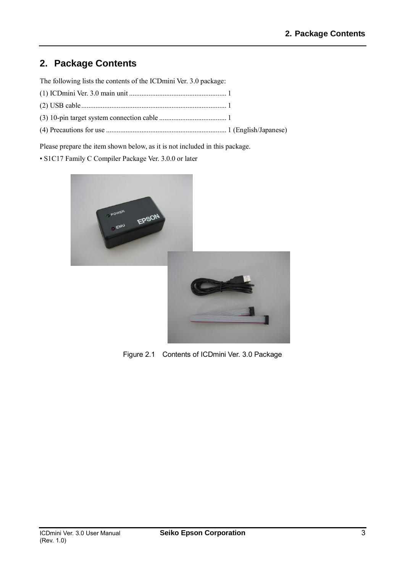# **2. Package Contents**

The following lists the contents of the ICDmini Ver. 3.0 package:

Please prepare the item shown below, as it is not included in this package.

• S1C17 Family C Compiler Package Ver. 3.0.0 or later



Figure 2.1 Contents of ICDmini Ver. 3.0 Package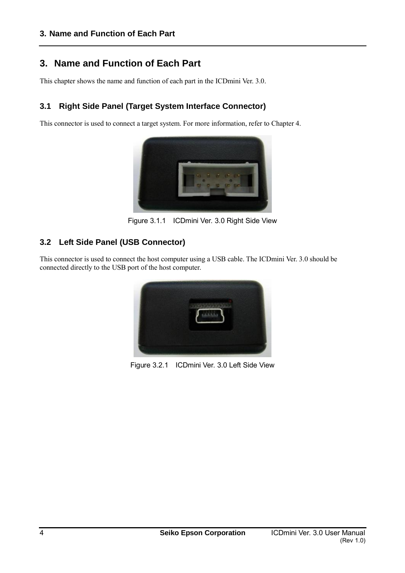## **3. Name and Function of Each Part**

This chapter shows the name and function of each part in the ICDmini Ver. 3.0.

## **3.1 Right Side Panel (Target System Interface Connector)**

This connector is used to connect a target system. For more information, refer to Chapter 4.



Figure 3.1.1 ICDmini Ver. 3.0 Right Side View

## **3.2 Left Side Panel (USB Connector)**

This connector is used to connect the host computer using a USB cable. The ICDmini Ver. 3.0 should be connected directly to the USB port of the host computer.



Figure 3.2.1 ICDmini Ver. 3.0 Left Side View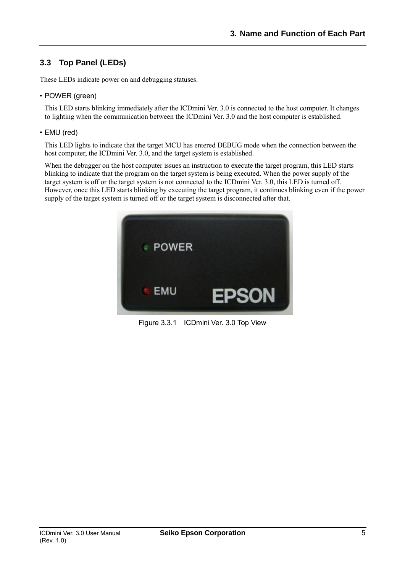## **3.3 Top Panel (LEDs)**

These LEDs indicate power on and debugging statuses.

• POWER (green)

 This LED starts blinking immediately after the ICDmini Ver. 3.0 is connected to the host computer. It changes to lighting when the communication between the ICDmini Ver. 3.0 and the host computer is established.

• EMU (red)

This LED lights to indicate that the target MCU has entered DEBUG mode when the connection between the host computer, the ICDmini Ver. 3.0, and the target system is established.

When the debugger on the host computer issues an instruction to execute the target program, this LED starts blinking to indicate that the program on the target system is being executed. When the power supply of the target system is off or the target system is not connected to the ICDmini Ver. 3.0, this LED is turned off. However, once this LED starts blinking by executing the target program, it continues blinking even if the power supply of the target system is turned off or the target system is disconnected after that.



Figure 3.3.1 ICDmini Ver. 3.0 Top View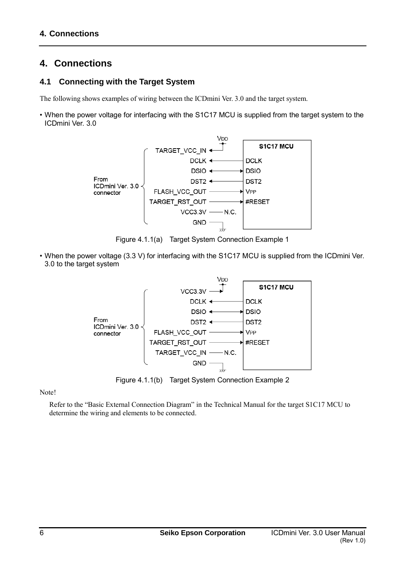# **4. Connections**

## **4.1 Connecting with the Target System**

The following shows examples of wiring between the ICDmini Ver. 3.0 and the target system.

• When the power voltage for interfacing with the S1C17 MCU is supplied from the target system to the ICDmini Ver. 3.0



Figure 4.1.1(a) Target System Connection Example 1

• When the power voltage (3.3 V) for interfacing with the S1C17 MCU is supplied from the ICDmini Ver. 3.0 to the target system



Figure 4.1.1(b) Target System Connection Example 2

Note!

Refer to the "Basic External Connection Diagram" in the Technical Manual for the target S1C17 MCU to determine the wiring and elements to be connected.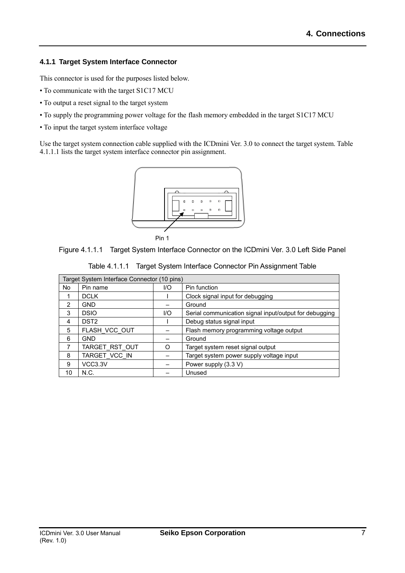#### **4.1.1 Target System Interface Connector**

This connector is used for the purposes listed below.

- To communicate with the target S1C17 MCU
- To output a reset signal to the target system
- To supply the programming power voltage for the flash memory embedded in the target S1C17 MCU
- To input the target system interface voltage

Use the target system connection cable supplied with the ICDmini Ver. 3.0 to connect the target system. Table 4.1.1.1 lists the target system interface connector pin assignment.



Figure 4.1.1.1 Target System Interface Connector on the ICDmini Ver. 3.0 Left Side Panel

| Target System Interface Connector (10 pins) |                  |      |                                                        |
|---------------------------------------------|------------------|------|--------------------------------------------------------|
| No                                          | Pin name         | 1/O  | Pin function                                           |
|                                             | <b>DCLK</b>      |      | Clock signal input for debugging                       |
| 2                                           | GND              |      | Ground                                                 |
| 3                                           | <b>DSIO</b>      | $UO$ | Serial communication signal input/output for debugging |
| 4                                           | DST <sub>2</sub> |      | Debug status signal input                              |
| 5                                           | FLASH_VCC_OUT    |      | Flash memory programming voltage output                |
| 6                                           | GND              |      | Ground                                                 |
| 7                                           | TARGET RST OUT   | ∩    | Target system reset signal output                      |
| 8                                           | TARGET VCC IN    |      | Target system power supply voltage input               |
| 9                                           | VCC3.3V          |      | Power supply (3.3 V)                                   |
| 10                                          | N.C.             |      | Unused                                                 |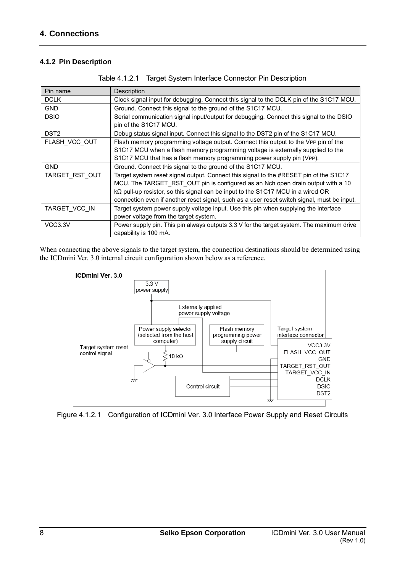#### **4.1.2 Pin Description**

| Pin name         | Description                                                                                                                                                                                                                                                                                                                                                       |
|------------------|-------------------------------------------------------------------------------------------------------------------------------------------------------------------------------------------------------------------------------------------------------------------------------------------------------------------------------------------------------------------|
| <b>DCLK</b>      | Clock signal input for debugging. Connect this signal to the DCLK pin of the S1C17 MCU.                                                                                                                                                                                                                                                                           |
| <b>GND</b>       | Ground. Connect this signal to the ground of the S1C17 MCU.                                                                                                                                                                                                                                                                                                       |
| <b>DSIO</b>      | Serial communication signal input/output for debugging. Connect this signal to the DSIO<br>pin of the S1C17 MCU.                                                                                                                                                                                                                                                  |
| DST <sub>2</sub> | Debug status signal input. Connect this signal to the DST2 pin of the S1C17 MCU.                                                                                                                                                                                                                                                                                  |
| FLASH VCC OUT    | Flash memory programming voltage output. Connect this output to the VPP pin of the<br>S1C17 MCU when a flash memory programming voltage is externally supplied to the<br>S1C17 MCU that has a flash memory programming power supply pin (VPP).                                                                                                                    |
| <b>GND</b>       | Ground. Connect this signal to the ground of the S1C17 MCU.                                                                                                                                                                                                                                                                                                       |
| TARGET RST OUT   | Target system reset signal output. Connect this signal to the #RESET pin of the S1C17<br>MCU. The TARGET RST OUT pin is configured as an Nch open drain output with a 10<br>$k\Omega$ pull-up resistor, so this signal can be input to the S1C17 MCU in a wired OR<br>connection even if another reset signal, such as a user reset switch signal, must be input. |
| TARGET VCC IN    | Target system power supply voltage input. Use this pin when supplying the interface<br>power voltage from the target system.                                                                                                                                                                                                                                      |
| VCC3.3V          | Power supply pin. This pin always outputs 3.3 V for the target system. The maximum drive<br>capability is 100 mA.                                                                                                                                                                                                                                                 |

Table 4.1.2.1 Target System Interface Connector Pin Description

When connecting the above signals to the target system, the connection destinations should be determined using the ICDmini Ver. 3.0 internal circuit configuration shown below as a reference.



Figure 4.1.2.1 Configuration of ICDmini Ver. 3.0 Interface Power Supply and Reset Circuits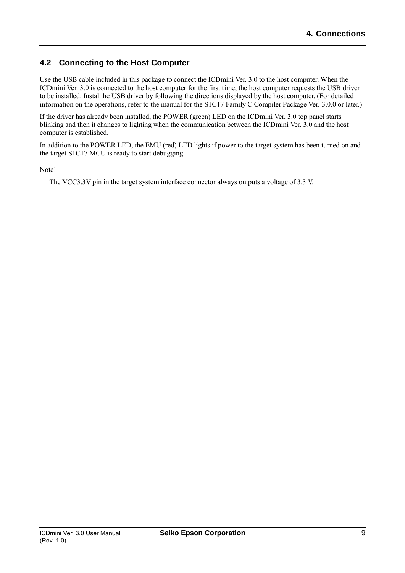## **4.2 Connecting to the Host Computer**

Use the USB cable included in this package to connect the ICDmini Ver. 3.0 to the host computer. When the ICDmini Ver. 3.0 is connected to the host computer for the first time, the host computer requests the USB driver to be installed. Instal the USB driver by following the directions displayed by the host computer. (For detailed information on the operations, refer to the manual for the S1C17 Family C Compiler Package Ver. 3.0.0 or later.)

If the driver has already been installed, the POWER (green) LED on the ICDmini Ver. 3.0 top panel starts blinking and then it changes to lighting when the communication between the ICDmini Ver. 3.0 and the host computer is established.

In addition to the POWER LED, the EMU (red) LED lights if power to the target system has been turned on and the target S1C17 MCU is ready to start debugging.

Note!

The VCC3.3V pin in the target system interface connector always outputs a voltage of 3.3 V.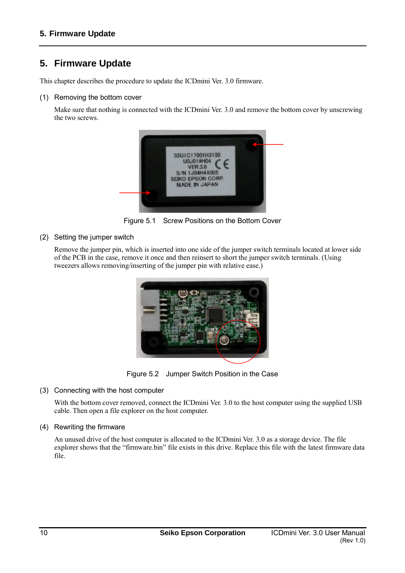# **5. Firmware Update**

This chapter describes the procedure to update the ICDmini Ver. 3.0 firmware.

#### (1) Removing the bottom cover

 Make sure that nothing is connected with the ICDmini Ver. 3.0 and remove the bottom cover by unscrewing the two screws.



Figure 5.1 Screw Positions on the Bottom Cover

(2) Setting the jumper switch

 Remove the jumper pin, which is inserted into one side of the jumper switch terminals located at lower side of the PCB in the case, remove it once and then reinsert to short the jumper switch terminals. (Using tweezers allows removing/inserting of the jumper pin with relative ease.)



Figure 5.2 Jumper Switch Position in the Case

#### (3) Connecting with the host computer

With the bottom cover removed, connect the ICDmini Ver. 3.0 to the host computer using the supplied USB cable. Then open a file explorer on the host computer.

#### (4) Rewriting the firmware

 An unused drive of the host computer is allocated to the ICDmini Ver. 3.0 as a storage device. The file explorer shows that the "firmware.bin" file exists in this drive. Replace this file with the latest firmware data file.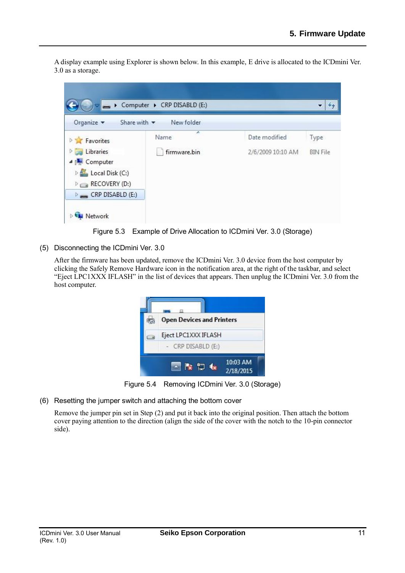A display example using Explorer is shown below. In this example, E drive is allocated to the ICDmini Ver. 3.0 as a storage.



Figure 5.3 Example of Drive Allocation to ICDmini Ver. 3.0 (Storage)

(5) Disconnecting the ICDmini Ver. 3.0

 After the firmware has been updated, remove the ICDmini Ver. 3.0 device from the host computer by clicking the Safely Remove Hardware icon in the notification area, at the right of the taskbar, and select "Eject LPC1XXX IFLASH" in the list of devices that appears. Then unplug the ICDmini Ver. 3.0 from the host computer.



Figure 5.4 Removing ICDmini Ver. 3.0 (Storage)

(6) Resetting the jumper switch and attaching the bottom cover

Remove the jumper pin set in Step (2) and put it back into the original position. Then attach the bottom cover paying attention to the direction (align the side of the cover with the notch to the 10-pin connector side).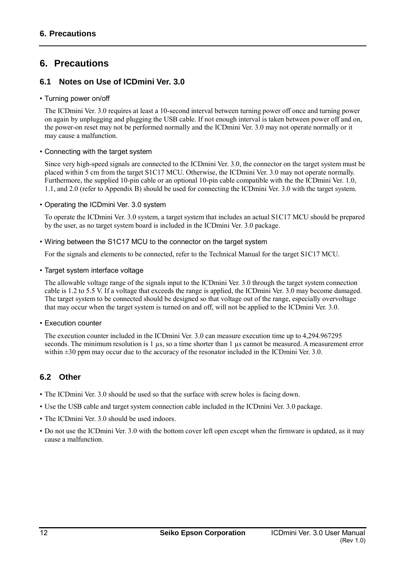# **6. Precautions**

## **6.1 Notes on Use of ICDmini Ver. 3.0**

• Turning power on/off

 The ICDmini Ver. 3.0 requires at least a 10-second interval between turning power off once and turning power on again by unplugging and plugging the USB cable. If not enough interval is taken between power off and on, the power-on reset may not be performed normally and the ICDmini Ver. 3.0 may not operate normally or it may cause a malfunction.

• Connecting with the target system

 Since very high-speed signals are connected to the ICDmini Ver. 3.0, the connector on the target system must be placed within 5 cm from the target S1C17 MCU. Otherwise, the ICDmini Ver. 3.0 may not operate normally. Furthermore, the supplied 10-pin cable or an optional 10-pin cable compatible with the the ICDmini Ver. 1.0, 1.1, and 2.0 (refer to Appendix B) should be used for connecting the ICDmini Ver. 3.0 with the target system.

• Operating the ICDmini Ver. 3.0 system

 To operate the ICDmini Ver. 3.0 system, a target system that includes an actual S1C17 MCU should be prepared by the user, as no target system board is included in the ICDmini Ver. 3.0 package.

• Wiring between the S1C17 MCU to the connector on the target system

For the signals and elements to be connected, refer to the Technical Manual for the target S1C17 MCU.

#### • Target system interface voltage

 The allowable voltage range of the signals input to the ICDmini Ver. 3.0 through the target system connection cable is 1.2 to 5.5 V. If a voltage that exceeds the range is applied, the ICDmini Ver. 3.0 may become damaged. The target system to be connected should be designed so that voltage out of the range, especially overvoltage that may occur when the target system is turned on and off, will not be applied to the ICDmini Ver. 3.0.

#### • Execution counter

 The execution counter included in the ICDmini Ver. 3.0 can measure execution time up to 4,294.967295 seconds. The minimum resolution is 1 µs, so a time shorter than 1 µs cannot be measured. A measurement error within  $\pm 30$  ppm may occur due to the accuracy of the resonator included in the ICDmini Ver. 3.0.

## **6.2 Other**

- The ICDmini Ver. 3.0 should be used so that the surface with screw holes is facing down.
- Use the USB cable and target system connection cable included in the ICDmini Ver. 3.0 package.
- The ICDmini Ver. 3.0 should be used indoors.
- Do not use the ICDmini Ver. 3.0 with the bottom cover left open except when the firmware is updated, as it may cause a malfunction.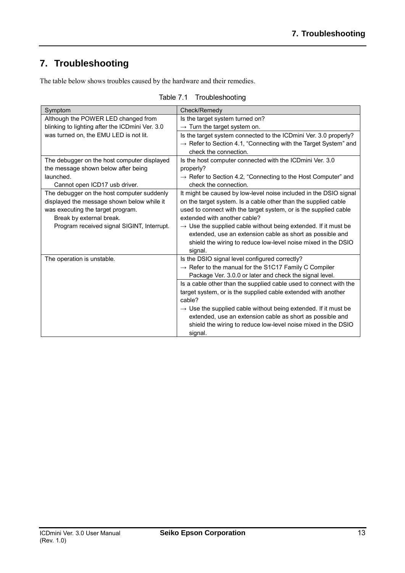# **7. Troubleshooting**

The table below shows troubles caused by the hardware and their remedies.

| Symptom                                         | Check/Remedy                                                                                         |  |
|-------------------------------------------------|------------------------------------------------------------------------------------------------------|--|
| Although the POWER LED changed from             | Is the target system turned on?                                                                      |  |
| blinking to lighting after the ICDmini Ver. 3.0 | $\rightarrow$ Turn the target system on.                                                             |  |
| was turned on, the EMU LED is not lit.          | Is the target system connected to the ICDmini Ver. 3.0 properly?                                     |  |
|                                                 | $\rightarrow$ Refer to Section 4.1, "Connecting with the Target System" and<br>check the connection. |  |
| The debugger on the host computer displayed     | Is the host computer connected with the ICD mini Ver. 3.0                                            |  |
| the message shown below after being             | properly?                                                                                            |  |
| launched.                                       | $\rightarrow$ Refer to Section 4.2, "Connecting to the Host Computer" and                            |  |
| Cannot open ICD17 usb driver.                   | check the connection.                                                                                |  |
| The debugger on the host computer suddenly      | It might be caused by low-level noise included in the DSIO signal                                    |  |
| displayed the message shown below while it      | on the target system. Is a cable other than the supplied cable                                       |  |
| was executing the target program.               | used to connect with the target system, or is the supplied cable                                     |  |
| Break by external break.                        | extended with another cable?                                                                         |  |
| Program received signal SIGINT, Interrupt.      | $\rightarrow$ Use the supplied cable without being extended. If it must be                           |  |
|                                                 | extended, use an extension cable as short as possible and                                            |  |
|                                                 | shield the wiring to reduce low-level noise mixed in the DSIO                                        |  |
|                                                 | signal.                                                                                              |  |
| The operation is unstable.                      | Is the DSIO signal level configured correctly?                                                       |  |
|                                                 | $\rightarrow$ Refer to the manual for the S1C17 Family C Compiler                                    |  |
|                                                 | Package Ver. 3.0.0 or later and check the signal level.                                              |  |
|                                                 | Is a cable other than the supplied cable used to connect with the                                    |  |
|                                                 | target system, or is the supplied cable extended with another                                        |  |
|                                                 | cable?                                                                                               |  |
|                                                 | $\rightarrow$ Use the supplied cable without being extended. If it must be                           |  |
|                                                 | extended, use an extension cable as short as possible and                                            |  |
|                                                 | shield the wiring to reduce low-level noise mixed in the DSIO                                        |  |
|                                                 | signal.                                                                                              |  |

Table 7.1 Troubleshooting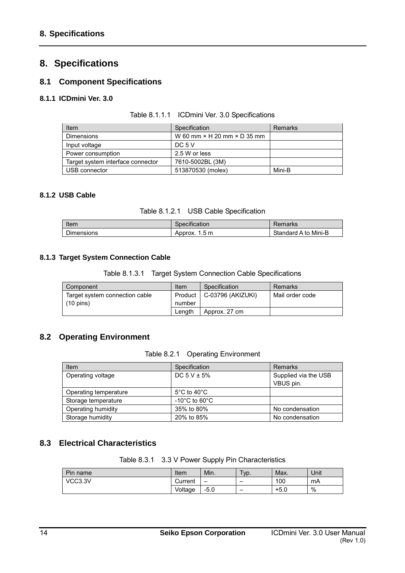# **8. Specifications**

## **8.1 Component Specifications**

#### **8.1.1 ICDmini Ver. 3.0**

| <b>Item</b>                       | Specification                             | Remarks |
|-----------------------------------|-------------------------------------------|---------|
| <b>Dimensions</b>                 | W 60 mm $\times$ H 20 mm $\times$ D 35 mm |         |
| Input voltage                     | DC 5 V                                    |         |
| Power consumption                 | 2.5 W or less                             |         |
| Target system interface connector | 7610-5002BL (3M)                          |         |
| USB connector                     | 513870530 (molex)                         | Mini-B  |

#### **8.1.2 USB Cable**

Table 8.1.2.1 USB Cable Specification

| Item              | Specification              | Remarks              |
|-------------------|----------------------------|----------------------|
| <b>Dimensions</b> | $1.5 \text{ m}$<br>Approx. | Standard A to Mini-B |

#### **8.1.3 Target System Connection Cable**

Table 8.1.3.1 Target System Connection Cable Specifications

| Component                      | Item   | Specification               | Remarks         |
|--------------------------------|--------|-----------------------------|-----------------|
| Target system connection cable |        | Product   C-03796 (AKIZUKI) | Mail order code |
| $(10 \text{ pins})$            | number |                             |                 |
|                                | Lenath | Approx. 27 cm               |                 |

## **8.2 Operating Environment**

Table 8.2.1 Operating Environment

| Item                  | Specification                      | Remarks                           |
|-----------------------|------------------------------------|-----------------------------------|
| Operating voltage     | DC $5$ V $\pm$ 5%                  | Supplied via the USB<br>VBUS pin. |
| Operating temperature | $5^{\circ}$ C to 40 $^{\circ}$ C   |                                   |
| Storage temperature   | $-10^{\circ}$ C to 60 $^{\circ}$ C |                                   |
| Operating humidity    | 35% to 80%                         | No condensation                   |
| Storage humidity      | 20% to 85%                         | No condensation                   |

## **8.3 Electrical Characteristics**

Table 8.3.1 3.3 V Power Supply Pin Characteristics

| Pin name | Item    | Min.                     | Typ. | Max.   | Unit |
|----------|---------|--------------------------|------|--------|------|
| VCC3.3V  | Current | $\overline{\phantom{0}}$ |      | 100    | mA   |
|          | Voltage | —5.∪                     | -    | $+5.0$ | %    |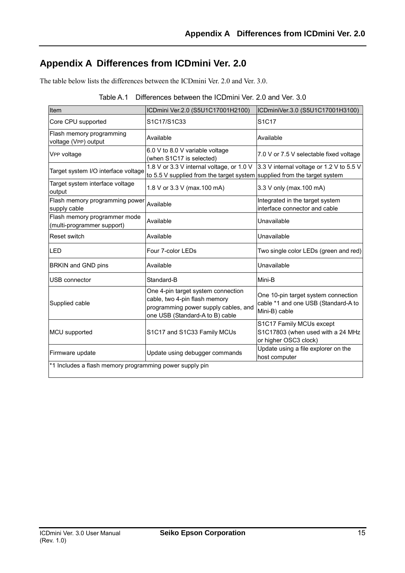# **Appendix A Differences from ICDmini Ver. 2.0**

The table below lists the differences between the ICDmini Ver. 2.0 and Ver. 3.0.

| Table A.1 Differences between the ICDmini Ver. 2.0 and Ver. 3.0 |  |
|-----------------------------------------------------------------|--|
|-----------------------------------------------------------------|--|

| Item                                                       | ICDmini Ver.2.0 (S5U1C17001H2100)                                                                                                              | ICDminiVer.3.0 (S5U1C17001H3100)                                                            |
|------------------------------------------------------------|------------------------------------------------------------------------------------------------------------------------------------------------|---------------------------------------------------------------------------------------------|
| Core CPU supported                                         | S1C17/S1C33                                                                                                                                    | S <sub>1</sub> C <sub>17</sub>                                                              |
| Flash memory programming<br>voltage (VPP) output           | Available                                                                                                                                      | Available                                                                                   |
| VPP voltage                                                | 6.0 V to 8.0 V variable voltage<br>(when S1C17 is selected)                                                                                    | 7.0 V or 7.5 V selectable fixed voltage                                                     |
| Target system I/O interface voltage                        | 1.8 V or 3.3 V internal voltage, or 1.0 V<br>to 5.5 V supplied from the target system supplied from the target system                          | 3.3 V internal voltage or 1.2 V to 5.5 V                                                    |
| Target system interface voltage<br>output                  | 1.8 V or 3.3 V (max.100 mA)                                                                                                                    | 3.3 V only (max. 100 mA)                                                                    |
| Flash memory programming power<br>supply cable             | Available                                                                                                                                      | Integrated in the target system<br>interface connector and cable                            |
| Flash memory programmer mode<br>(multi-programmer support) | Available                                                                                                                                      | Unavailable                                                                                 |
| Reset switch                                               | Available                                                                                                                                      | Unavailable                                                                                 |
| <b>LED</b>                                                 | Four 7-color LEDs                                                                                                                              | Two single color LEDs (green and red)                                                       |
| BRKIN and GND pins                                         | Available                                                                                                                                      | Unavailable                                                                                 |
| USB connector                                              | Standard-B                                                                                                                                     | Mini-B                                                                                      |
| Supplied cable                                             | One 4-pin target system connection<br>cable, two 4-pin flash memory<br>programming power supply cables, and<br>one USB (Standard-A to B) cable | One 10-pin target system connection<br>cable *1 and one USB (Standard-A to<br>Mini-B) cable |
| MCU supported                                              | S1C17 and S1C33 Family MCUs                                                                                                                    | S1C17 Family MCUs except<br>S1C17803 (when used with a 24 MHz<br>or higher OSC3 clock)      |
| Firmware update                                            | Update using debugger commands                                                                                                                 | Update using a file explorer on the<br>host computer                                        |
| *1 Includes a flash memory programming power supply pin    |                                                                                                                                                |                                                                                             |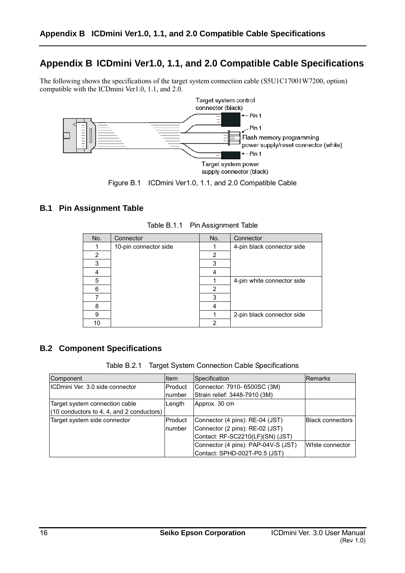# **Appendix B ICDmini Ver1.0, 1.1, and 2.0 Compatible Cable Specifications**

The following shows the specifications of the target system connection cable (S5U1C17001W7200, option) compatible with the ICDmini Ver1.0, 1.1, and 2.0.



#### **B.1 Pin Assignment Table**

| No. | Connector             | No. | Connector                  |
|-----|-----------------------|-----|----------------------------|
|     | 10-pin connector side |     | 4-pin black connector side |
| 2   |                       | 2   |                            |
| 3   |                       | 3   |                            |
|     |                       |     |                            |
| 5   |                       |     | 4-pin white connector side |
| ี   |                       | 2   |                            |
|     |                       | 3   |                            |
| 8   |                       |     |                            |
| 9   |                       |     | 2-pin black connector side |
| 10  |                       | ⌒   |                            |

Table B.1.1 Pin Assignment Table

## **B.2 Component Specifications**

| Table B.2.1 Target System Connection Cable Specifications |  |  |
|-----------------------------------------------------------|--|--|
|-----------------------------------------------------------|--|--|

| Component                                   | ltem    | Specification                       | Remarks                 |
|---------------------------------------------|---------|-------------------------------------|-------------------------|
| IICDmini Ver. 3.0 side connector            | Product | Connector: 7910- 6500SC (3M)        |                         |
|                                             | number  | Strain relief: 3448-7910 (3M)       |                         |
| Target system connection cable              | Length  | Approx. 30 cm                       |                         |
| $(10$ conductors to 4, 4, and 2 conductors) |         |                                     |                         |
| Target system side connector                | Product | Connector (4 pins): RE-04 (JST)     | <b>Black connectors</b> |
|                                             | number  | Connector (2 pins): RE-02 (JST)     |                         |
|                                             |         | Contact: RF-SC2210(LF)(SN) (JST)    |                         |
|                                             |         | Connector (4 pins): PAP-04V-S (JST) | lWhite connector        |
|                                             |         | Contact: SPHD-002T-P0.5 (JST)       |                         |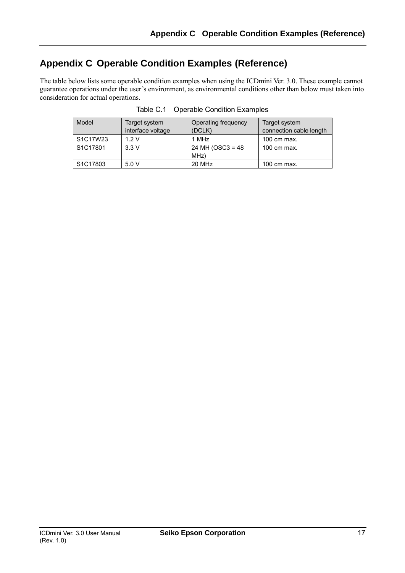# **Appendix C Operable Condition Examples (Reference)**

The table below lists some operable condition examples when using the ICDmini Ver. 3.0. These example cannot guarantee operations under the user's environment, as environmental conditions other than below must taken into consideration for actual operations.

| Model                             | Target system<br>interface voltage | Operating frequency<br>(DCLK) | Target system<br>connection cable length |
|-----------------------------------|------------------------------------|-------------------------------|------------------------------------------|
|                                   |                                    |                               |                                          |
| S1C17W23                          | 1.2V                               | 1 MHz                         | 100 cm max.                              |
| S1C17801                          | 3.3V                               | 24 MH (OSC3 = $48$            | 100 cm max.                              |
|                                   |                                    | MHz)                          |                                          |
| S <sub>1</sub> C <sub>17803</sub> | 5.0V                               | 20 MHz                        | 100 cm max.                              |

Table C.1 Operable Condition Examples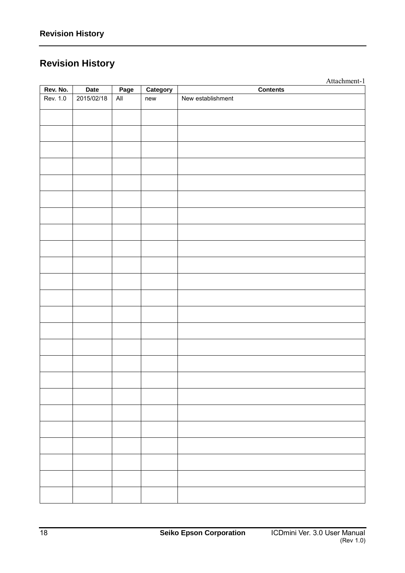# **Revision History**

|          |            |                |          | Attachment-1      |
|----------|------------|----------------|----------|-------------------|
| Rev. No. | Date       | Page           | Category | <b>Contents</b>   |
| Rev. 1.0 | 2015/02/18 | $\mathsf{All}$ | new      | New establishment |
|          |            |                |          |                   |
|          |            |                |          |                   |
|          |            |                |          |                   |
|          |            |                |          |                   |
|          |            |                |          |                   |
|          |            |                |          |                   |
|          |            |                |          |                   |
|          |            |                |          |                   |
|          |            |                |          |                   |
|          |            |                |          |                   |
|          |            |                |          |                   |
|          |            |                |          |                   |
|          |            |                |          |                   |
|          |            |                |          |                   |
|          |            |                |          |                   |
|          |            |                |          |                   |
|          |            |                |          |                   |
|          |            |                |          |                   |
|          |            |                |          |                   |
|          |            |                |          |                   |
|          |            |                |          |                   |
|          |            |                |          |                   |
|          |            |                |          |                   |
|          |            |                |          |                   |
|          |            |                |          |                   |
|          |            |                |          |                   |
|          |            |                |          |                   |
|          |            |                |          |                   |
|          |            |                |          |                   |
|          |            |                |          |                   |
|          |            |                |          |                   |
|          |            |                |          |                   |
|          |            |                |          |                   |
|          |            |                |          |                   |
|          |            |                |          |                   |
|          |            |                |          |                   |
|          |            |                |          |                   |
|          |            |                |          |                   |
|          |            |                |          |                   |